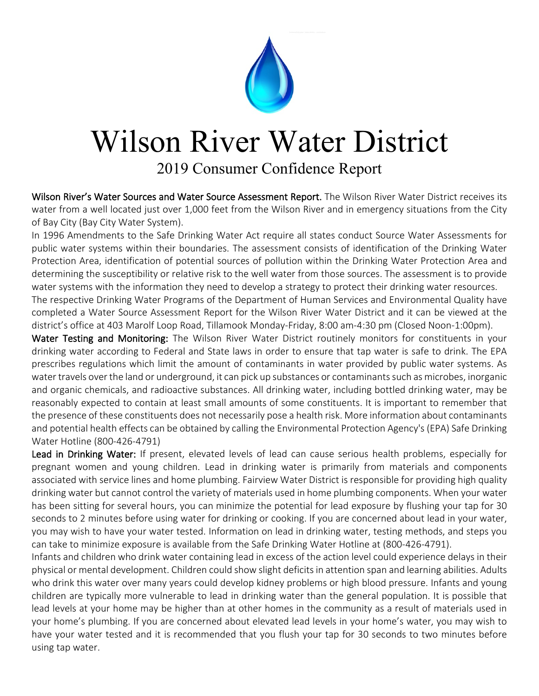

## Wilson River Water District

2019 Consumer Confidence Report

Wilson River's Water Sources and Water Source Assessment Report. The Wilson River Water District receives its water from a well located just over 1,000 feet from the Wilson River and in emergency situations from the City of Bay City (Bay City Water System).

In 1996 Amendments to the Safe Drinking Water Act require all states conduct Source Water Assessments for public water systems within their boundaries. The assessment consists of identification of the Drinking Water Protection Area, identification of potential sources of pollution within the Drinking Water Protection Area and determining the susceptibility or relative risk to the well water from those sources. The assessment is to provide water systems with the information they need to develop a strategy to protect their drinking water resources.

The respective Drinking Water Programs of the Department of Human Services and Environmental Quality have completed a Water Source Assessment Report for the Wilson River Water District and it can be viewed at the district's office at 403 Marolf Loop Road, Tillamook Monday-Friday, 8:00 am-4:30 pm (Closed Noon-1:00pm).

Water Testing and Monitoring: The Wilson River Water District routinely monitors for constituents in your drinking water according to Federal and State laws in order to ensure that tap water is safe to drink. The EPA prescribes regulations which limit the amount of contaminants in water provided by public water systems. As water travels over the land or underground, it can pick up substances or contaminants such as microbes, inorganic and organic chemicals, and radioactive substances. All drinking water, including bottled drinking water, may be reasonably expected to contain at least small amounts of some constituents. It is important to remember that the presence of these constituents does not necessarily pose a health risk. More information about contaminants and potential health effects can be obtained by calling the Environmental Protection Agency's (EPA) Safe Drinking Water Hotline (800-426-4791)

Lead in Drinking Water: If present, elevated levels of lead can cause serious health problems, especially for pregnant women and young children. Lead in drinking water is primarily from materials and components associated with service lines and home plumbing. Fairview Water District is responsible for providing high quality drinking water but cannot control the variety of materials used in home plumbing components. When your water has been sitting for several hours, you can minimize the potential for lead exposure by flushing your tap for 30 seconds to 2 minutes before using water for drinking or cooking. If you are concerned about lead in your water, you may wish to have your water tested. Information on lead in drinking water, testing methods, and steps you can take to minimize exposure is available from the Safe Drinking Water Hotline at (800-426-4791).

Infants and children who drink water containing lead in excess of the action level could experience delays in their physical or mental development. Children could show slight deficits in attention span and learning abilities. Adults who drink this water over many years could develop kidney problems or high blood pressure. Infants and young children are typically more vulnerable to lead in drinking water than the general population. It is possible that lead levels at your home may be higher than at other homes in the community as a result of materials used in your home's plumbing. If you are concerned about elevated lead levels in your home's water, you may wish to have your water tested and it is recommended that you flush your tap for 30 seconds to two minutes before using tap water.